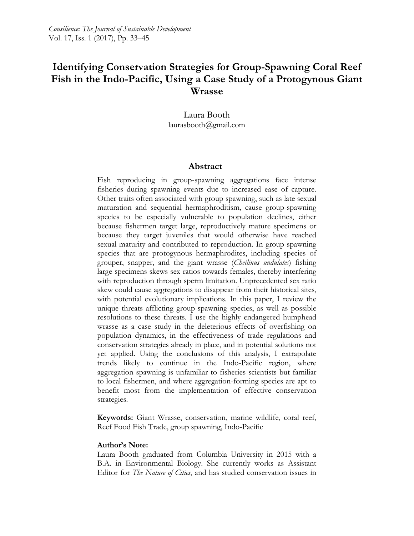# **Identifying Conservation Strategies for Group-Spawning Coral Reef Fish in the Indo-Pacific, Using a Case Study of a Protogynous Giant Wrasse**

Laura Booth laurasbooth@gmail.com

### **Abstract**

Fish reproducing in group-spawning aggregations face intense fisheries during spawning events due to increased ease of capture. Other traits often associated with group spawning, such as late sexual maturation and sequential hermaphroditism, cause group-spawning species to be especially vulnerable to population declines, either because fishermen target large, reproductively mature specimens or because they target juveniles that would otherwise have reached sexual maturity and contributed to reproduction. In group-spawning species that are protogynous hermaphrodites, including species of grouper, snapper, and the giant wrasse (*Cheilinus undulates*) fishing large specimens skews sex ratios towards females, thereby interfering with reproduction through sperm limitation. Unprecedented sex ratio skew could cause aggregations to disappear from their historical sites, with potential evolutionary implications. In this paper, I review the unique threats afflicting group-spawning species, as well as possible resolutions to these threats. I use the highly endangered humphead wrasse as a case study in the deleterious effects of overfishing on population dynamics, in the effectiveness of trade regulations and conservation strategies already in place, and in potential solutions not yet applied. Using the conclusions of this analysis, I extrapolate trends likely to continue in the Indo-Pacific region, where aggregation spawning is unfamiliar to fisheries scientists but familiar to local fishermen, and where aggregation-forming species are apt to benefit most from the implementation of effective conservation strategies.

**Keywords:** Giant Wrasse, conservation, marine wildlife, coral reef, Reef Food Fish Trade, group spawning, Indo-Pacific

#### **Author's Note:**

Laura Booth graduated from Columbia University in 2015 with a B.A. in Environmental Biology. She currently works as Assistant Editor for *The Nature of Cities*, and has studied conservation issues in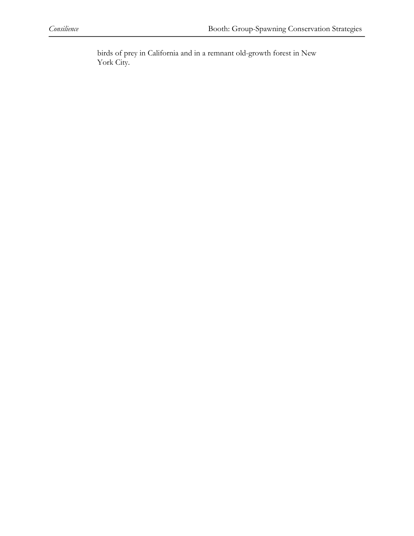birds of prey in California and in a remnant old-growth forest in New York City.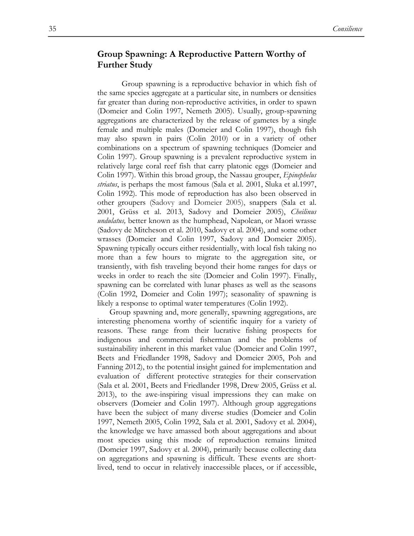### **Group Spawning: A Reproductive Pattern Worthy of Further Study**

Group spawning is a reproductive behavior in which fish of the same species aggregate at a particular site, in numbers or densities far greater than during non-reproductive activities, in order to spawn (Domeier and Colin 1997, Nemeth 2005). Usually, group-spawning aggregations are characterized by the release of gametes by a single female and multiple males (Domeier and Colin 1997), though fish may also spawn in pairs (Colin 2010) or in a variety of other combinations on a spectrum of spawning techniques (Domeier and Colin 1997). Group spawning is a prevalent reproductive system in relatively large coral reef fish that carry platonic eggs (Domeier and Colin 1997). Within this broad group, the Nassau grouper, *Epinephelus striatus*, is perhaps the most famous (Sala et al. 2001, Sluka et al.1997, Colin 1992). This mode of reproduction has also been observed in other groupers (Sadovy and Domeier 2005), snappers (Sala et al. 2001, Grüss et al. 2013, Sadovy and Domeier 2005), *Cheilinus undulatus,* better known as the humphead, Napolean, or Maori wrasse (Sadovy de Mitcheson et al. 2010, Sadovy et al. 2004), and some other wrasses (Domeier and Colin 1997, Sadovy and Domeier 2005). Spawning typically occurs either residentially, with local fish taking no more than a few hours to migrate to the aggregation site, or transiently, with fish traveling beyond their home ranges for days or weeks in order to reach the site (Domeier and Colin 1997). Finally, spawning can be correlated with lunar phases as well as the seasons (Colin 1992, Domeier and Colin 1997); seasonality of spawning is likely a response to optimal water temperatures (Colin 1992).

Group spawning and, more generally, spawning aggregations, are interesting phenomena worthy of scientific inquiry for a variety of reasons. These range from their lucrative fishing prospects for indigenous and commercial fisherman and the problems of sustainability inherent in this market value (Domeier and Colin 1997, Beets and Friedlander 1998, Sadovy and Domeier 2005, Poh and Fanning 2012), to the potential insight gained for implementation and evaluation of different protective strategies for their conservation (Sala et al. 2001, Beets and Friedlander 1998, Drew 2005, Grüss et al. 2013), to the awe-inspiring visual impressions they can make on observers (Domeier and Colin 1997). Although group aggregations have been the subject of many diverse studies (Domeier and Colin 1997, Nemeth 2005, Colin 1992, Sala et al. 2001, Sadovy et al. 2004), the knowledge we have amassed both about aggregations and about most species using this mode of reproduction remains limited (Domeier 1997, Sadovy et al. 2004), primarily because collecting data on aggregations and spawning is difficult. These events are shortlived, tend to occur in relatively inaccessible places, or if accessible,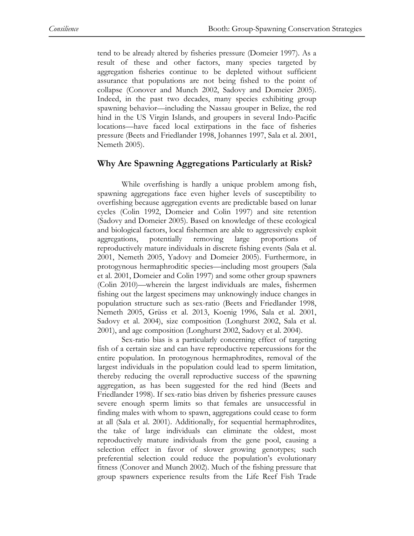tend to be already altered by fisheries pressure (Domeier 1997). As a result of these and other factors, many species targeted by aggregation fisheries continue to be depleted without sufficient assurance that populations are not being fished to the point of collapse (Conover and Munch 2002, Sadovy and Domeier 2005). Indeed, in the past two decades, many species exhibiting group spawning behavior—including the Nassau grouper in Belize, the red hind in the US Virgin Islands, and groupers in several Indo-Pacific locations—have faced local extirpations in the face of fisheries pressure (Beets and Friedlander 1998, Johannes 1997, Sala et al. 2001, Nemeth 2005).

#### **Why Are Spawning Aggregations Particularly at Risk?**

While overfishing is hardly a unique problem among fish, spawning aggregations face even higher levels of susceptibility to overfishing because aggregation events are predictable based on lunar cycles (Colin 1992, Domeier and Colin 1997) and site retention (Sadovy and Domeier 2005). Based on knowledge of these ecological and biological factors, local fishermen are able to aggressively exploit aggregations, potentially removing large proportions of reproductively mature individuals in discrete fishing events (Sala et al. 2001, Nemeth 2005, Yadovy and Domeier 2005). Furthermore, in protogynous hermaphroditic species—including most groupers (Sala et al. 2001, Domeier and Colin 1997) and some other group spawners (Colin 2010)—wherein the largest individuals are males, fishermen fishing out the largest specimens may unknowingly induce changes in population structure such as sex-ratio (Beets and Friedlander 1998, Nemeth 2005, Grüss et al. 2013, Koenig 1996, Sala et al. 2001, Sadovy et al. 2004), size composition (Longhurst 2002, Sala et al. 2001), and age composition (Longhurst 2002, Sadovy et al. 2004).

Sex-ratio bias is a particularly concerning effect of targeting fish of a certain size and can have reproductive repercussions for the entire population. In protogynous hermaphrodites, removal of the largest individuals in the population could lead to sperm limitation, thereby reducing the overall reproductive success of the spawning aggregation, as has been suggested for the red hind (Beets and Friedlander 1998). If sex-ratio bias driven by fisheries pressure causes severe enough sperm limits so that females are unsuccessful in finding males with whom to spawn, aggregations could cease to form at all (Sala et al. 2001). Additionally, for sequential hermaphrodites, the take of large individuals can eliminate the oldest, most reproductively mature individuals from the gene pool, causing a selection effect in favor of slower growing genotypes; such preferential selection could reduce the population's evolutionary fitness (Conover and Munch 2002). Much of the fishing pressure that group spawners experience results from the Life Reef Fish Trade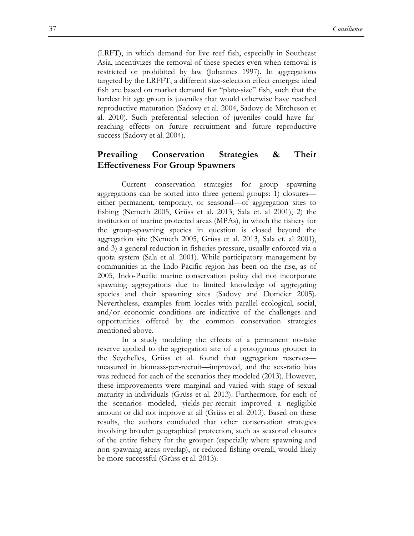(LRFT), in which demand for live reef fish, especially in Southeast Asia, incentivizes the removal of these species even when removal is restricted or prohibited by law (Johannes 1997). In aggregations targeted by the LRFFT, a different size-selection effect emerges: ideal fish are based on market demand for "plate-size" fish, such that the hardest hit age group is juveniles that would otherwise have reached reproductive maturation (Sadovy et al. 2004, Sadovy de Mitcheson et al. 2010). Such preferential selection of juveniles could have farreaching effects on future recruitment and future reproductive success (Sadovy et al. 2004).

### **Prevailing Conservation Strategies & Their Effectiveness For Group Spawners**

Current conservation strategies for group spawning aggregations can be sorted into three general groups: 1) closures either permanent, temporary, or seasonal—of aggregation sites to fishing (Nemeth 2005, Grüss et al. 2013, Sala et. al 2001), 2) the institution of marine protected areas (MPAs), in which the fishery for the group-spawning species in question is closed beyond the aggregation site (Nemeth 2005, Grüss et al. 2013, Sala et. al 2001), and 3) a general reduction in fisheries pressure, usually enforced via a quota system (Sala et al. 2001). While participatory management by communities in the Indo-Pacific region has been on the rise, as of 2005, Indo-Pacific marine conservation policy did not incorporate spawning aggregations due to limited knowledge of aggregating species and their spawning sites (Sadovy and Domeier 2005). Nevertheless, examples from locales with parallel ecological, social, and/or economic conditions are indicative of the challenges and opportunities offered by the common conservation strategies mentioned above.

In a study modeling the effects of a permanent no-take reserve applied to the aggregation site of a protogynous grouper in the Seychelles, Grüss et al. found that aggregation reserves measured in biomass-per-recruit—improved, and the sex-ratio bias was reduced for each of the scenarios they modeled (2013). However, these improvements were marginal and varied with stage of sexual maturity in individuals (Grüss et al. 2013). Furthermore, for each of the scenarios modeled, yields-per-recruit improved a negligible amount or did not improve at all (Grüss et al. 2013). Based on these results, the authors concluded that other conservation strategies involving broader geographical protection, such as seasonal closures of the entire fishery for the grouper (especially where spawning and non-spawning areas overlap), or reduced fishing overall, would likely be more successful (Grüss et al. 2013).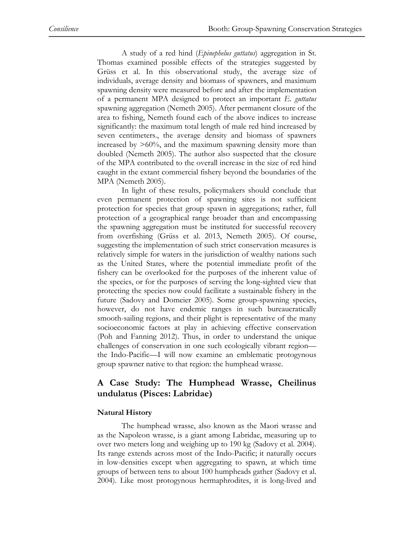A study of a red hind (*Epinephelus guttatus*) aggregation in St. Thomas examined possible effects of the strategies suggested by Grüss et al. In this observational study, the average size of individuals, average density and biomass of spawners, and maximum spawning density were measured before and after the implementation of a permanent MPA designed to protect an important *E. guttatus* spawning aggregation (Nemeth 2005). After permanent closure of the area to fishing, Nemeth found each of the above indices to increase significantly: the maximum total length of male red hind increased by seven centimeters., the average density and biomass of spawners increased by >60%, and the maximum spawning density more than doubled (Nemeth 2005). The author also suspected that the closure of the MPA contributed to the overall increase in the size of red hind caught in the extant commercial fishery beyond the boundaries of the MPA (Nemeth 2005).

In light of these results, policymakers should conclude that even permanent protection of spawning sites is not sufficient protection for species that group spawn in aggregations; rather, full protection of a geographical range broader than and encompassing the spawning aggregation must be instituted for successful recovery from overfishing (Grüss et al. 2013, Nemeth 2005). Of course, suggesting the implementation of such strict conservation measures is relatively simple for waters in the jurisdiction of wealthy nations such as the United States, where the potential immediate profit of the fishery can be overlooked for the purposes of the inherent value of the species, or for the purposes of serving the long-sighted view that protecting the species now could facilitate a sustainable fishery in the future (Sadovy and Domeier 2005). Some group-spawning species, however, do not have endemic ranges in such bureaucratically smooth-sailing regions, and their plight is representative of the many socioeconomic factors at play in achieving effective conservation (Poh and Fanning 2012). Thus, in order to understand the unique challenges of conservation in one such ecologically vibrant region the Indo-Pacific—I will now examine an emblematic protogynous group spawner native to that region: the humphead wrasse.

## **A Case Study: The Humphead Wrasse, Cheilinus undulatus (Pisces: Labridae)**

#### **Natural History**

The humphead wrasse, also known as the Maori wrasse and as the Napoleon wrasse, is a giant among Labridae, measuring up to over two meters long and weighing up to 190 kg (Sadovy et al. 2004). Its range extends across most of the Indo-Pacific; it naturally occurs in low-densities except when aggregating to spawn, at which time groups of between tens to about 100 humpheads gather (Sadovy et al. 2004). Like most protogynous hermaphrodites, it is long-lived and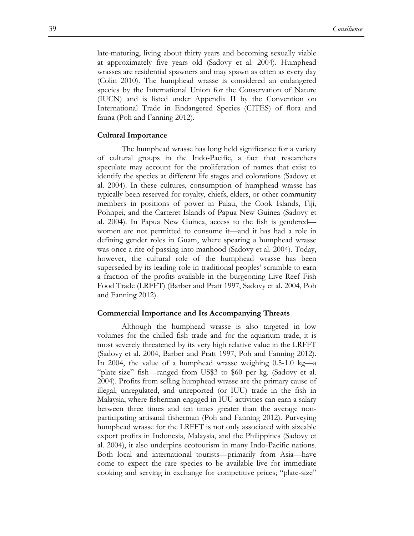late-maturing, living about thirty years and becoming sexually viable at approximately five years old (Sadovy et al. 2004). Humphead wrasses are residential spawners and may spawn as often as every day (Colin 2010). The humphead wrasse is considered an endangered species by the International Union for the Conservation of Nature (IUCN) and is listed under Appendix II by the Convention on International Trade in Endangered Species (CITES) of flora and fauna (Poh and Fanning 2012).

#### **Cultural Importance**

The humphead wrasse has long held significance for a variety of cultural groups in the Indo-Pacific, a fact that researchers speculate may account for the proliferation of names that exist to identify the species at different life stages and colorations (Sadovy et al. 2004). In these cultures, consumption of humphead wrasse has typically been reserved for royalty, chiefs, elders, or other community members in positions of power in Palau, the Cook Islands, Fiji, Pohnpei, and the Carteret Islands of Papua New Guinea (Sadovy et al. 2004). In Papua New Guinea, access to the fish is gendered women are not permitted to consume it—and it has had a role in defining gender roles in Guam, where spearing a humphead wrasse was once a rite of passing into manhood (Sadovy et al. 2004). Today, however, the cultural role of the humphead wrasse has been superseded by its leading role in traditional peoples' scramble to earn a fraction of the profits available in the burgeoning Live Reef Fish Food Trade (LRFFT) (Barber and Pratt 1997, Sadovy et al. 2004, Poh and Fanning 2012).

#### **Commercial Importance and Its Accompanying Threats**

Although the humphead wrasse is also targeted in low volumes for the chilled fish trade and for the aquarium trade, it is most severely threatened by its very high relative value in the LRFFT (Sadovy et al. 2004, Barber and Pratt 1997, Poh and Fanning 2012). In 2004, the value of a humphead wrasse weighing 0.5-1.0 kg—a "plate-size" fish—ranged from US\$3 to \$60 per kg. (Sadovy et al. 2004). Profits from selling humphead wrasse are the primary cause of illegal, unregulated, and unreported (or IUU) trade in the fish in Malaysia, where fisherman engaged in IUU activities can earn a salary between three times and ten times greater than the average nonparticipating artisanal fisherman (Poh and Fanning 2012). Purveying humphead wrasse for the LRFFT is not only associated with sizeable export profits in Indonesia, Malaysia, and the Philippines (Sadovy et al. 2004), it also underpins ecotourism in many Indo-Pacific nations. Both local and international tourists—primarily from Asia—have come to expect the rare species to be available live for immediate cooking and serving in exchange for competitive prices; "plate-size"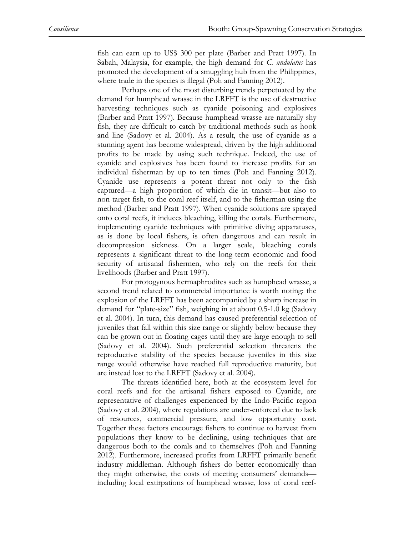fish can earn up to US\$ 300 per plate (Barber and Pratt 1997). In Sabah, Malaysia, for example, the high demand for *C. undulatus* has promoted the development of a smuggling hub from the Philippines, where trade in the species is illegal (Poh and Fanning 2012).

Perhaps one of the most disturbing trends perpetuated by the demand for humphead wrasse in the LRFFT is the use of destructive harvesting techniques such as cyanide poisoning and explosives (Barber and Pratt 1997). Because humphead wrasse are naturally shy fish, they are difficult to catch by traditional methods such as hook and line (Sadovy et al. 2004). As a result, the use of cyanide as a stunning agent has become widespread, driven by the high additional profits to be made by using such technique. Indeed, the use of cyanide and explosives has been found to increase profits for an individual fisherman by up to ten times (Poh and Fanning 2012). Cyanide use represents a potent threat not only to the fish captured—a high proportion of which die in transit—but also to non-target fish, to the coral reef itself, and to the fisherman using the method (Barber and Pratt 1997). When cyanide solutions are sprayed onto coral reefs, it induces bleaching, killing the corals. Furthermore, implementing cyanide techniques with primitive diving apparatuses, as is done by local fishers, is often dangerous and can result in decompression sickness. On a larger scale, bleaching corals represents a significant threat to the long-term economic and food security of artisanal fishermen, who rely on the reefs for their livelihoods (Barber and Pratt 1997).

For protogynous hermaphrodites such as humphead wrasse, a second trend related to commercial importance is worth noting: the explosion of the LRFFT has been accompanied by a sharp increase in demand for "plate-size" fish, weighing in at about 0.5-1.0 kg (Sadovy et al. 2004). In turn, this demand has caused preferential selection of juveniles that fall within this size range or slightly below because they can be grown out in floating cages until they are large enough to sell (Sadovy et al. 2004). Such preferential selection threatens the reproductive stability of the species because juveniles in this size range would otherwise have reached full reproductive maturity, but are instead lost to the LRFFT (Sadovy et al. 2004).

The threats identified here, both at the ecosystem level for coral reefs and for the artisanal fishers exposed to Cyanide, are representative of challenges experienced by the Indo-Pacific region (Sadovy et al. 2004), where regulations are under-enforced due to lack of resources, commercial pressure, and low opportunity cost. Together these factors encourage fishers to continue to harvest from populations they know to be declining, using techniques that are dangerous both to the corals and to themselves (Poh and Fanning 2012). Furthermore, increased profits from LRFFT primarily benefit industry middleman. Although fishers do better economically than they might otherwise, the costs of meeting consumers' demands–– including local extirpations of humphead wrasse, loss of coral reef-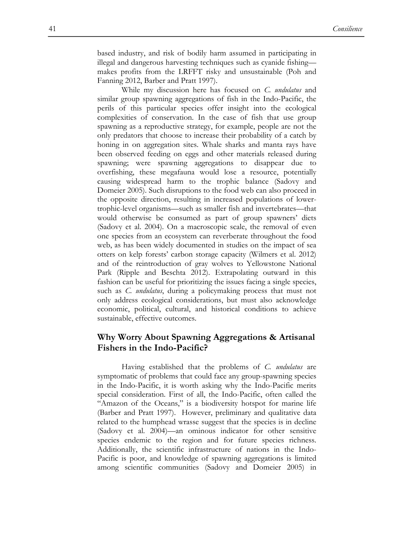based industry, and risk of bodily harm assumed in participating in illegal and dangerous harvesting techniques such as cyanide fishing makes profits from the LRFFT risky and unsustainable (Poh and Fanning 2012, Barber and Pratt 1997).

While my discussion here has focused on *C. undulatus* and similar group spawning aggregations of fish in the Indo-Pacific, the perils of this particular species offer insight into the ecological complexities of conservation. In the case of fish that use group spawning as a reproductive strategy, for example, people are not the only predators that choose to increase their probability of a catch by honing in on aggregation sites. Whale sharks and manta rays have been observed feeding on eggs and other materials released during spawning; were spawning aggregations to disappear due to overfishing, these megafauna would lose a resource, potentially causing widespread harm to the trophic balance (Sadovy and Domeier 2005). Such disruptions to the food web can also proceed in the opposite direction, resulting in increased populations of lowertrophic-level organisms—such as smaller fish and invertebrates—that would otherwise be consumed as part of group spawners' diets (Sadovy et al. 2004). On a macroscopic scale, the removal of even one species from an ecosystem can reverberate throughout the food web, as has been widely documented in studies on the impact of sea otters on kelp forests' carbon storage capacity (Wilmers et al. 2012) and of the reintroduction of gray wolves to Yellowstone National Park (Ripple and Beschta 2012). Extrapolating outward in this fashion can be useful for prioritizing the issues facing a single species, such as *C. undulatus*, during a policymaking process that must not only address ecological considerations, but must also acknowledge economic, political, cultural, and historical conditions to achieve sustainable, effective outcomes.

### **Why Worry About Spawning Aggregations & Artisanal Fishers in the Indo-Pacific?**

Having established that the problems of *C. undulatus* are symptomatic of problems that could face any group-spawning species in the Indo-Pacific, it is worth asking why the Indo-Pacific merits special consideration. First of all, the Indo-Pacific, often called the "Amazon of the Oceans," is a biodiversity hotspot for marine life (Barber and Pratt 1997). However, preliminary and qualitative data related to the humphead wrasse suggest that the species is in decline (Sadovy et al. 2004)—an ominous indicator for other sensitive species endemic to the region and for future species richness. Additionally, the scientific infrastructure of nations in the Indo-Pacific is poor, and knowledge of spawning aggregations is limited among scientific communities (Sadovy and Domeier 2005) in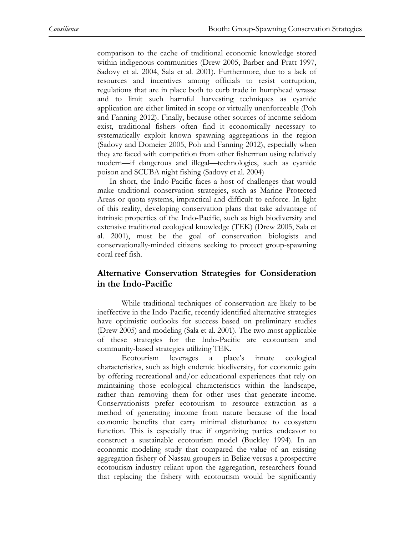comparison to the cache of traditional economic knowledge stored within indigenous communities (Drew 2005, Barber and Pratt 1997, Sadovy et al. 2004, Sala et al. 2001). Furthermore, due to a lack of resources and incentives among officials to resist corruption, regulations that are in place both to curb trade in humphead wrasse and to limit such harmful harvesting techniques as cyanide application are either limited in scope or virtually unenforceable (Poh and Fanning 2012). Finally, because other sources of income seldom exist, traditional fishers often find it economically necessary to systematically exploit known spawning aggregations in the region (Sadovy and Domeier 2005, Poh and Fanning 2012), especially when they are faced with competition from other fisherman using relatively modern—if dangerous and illegal—technologies, such as cyanide poison and SCUBA night fishing (Sadovy et al. 2004)

In short, the Indo-Pacific faces a host of challenges that would make traditional conservation strategies, such as Marine Protected Areas or quota systems, impractical and difficult to enforce. In light of this reality, developing conservation plans that take advantage of intrinsic properties of the Indo-Pacific, such as high biodiversity and extensive traditional ecological knowledge (TEK) (Drew 2005, Sala et al. 2001), must be the goal of conservation biologists and conservationally-minded citizens seeking to protect group-spawning coral reef fish.

### **Alternative Conservation Strategies for Consideration in the Indo-Pacific**

While traditional techniques of conservation are likely to be ineffective in the Indo-Pacific, recently identified alternative strategies have optimistic outlooks for success based on preliminary studies (Drew 2005) and modeling (Sala et al. 2001). The two most applicable of these strategies for the Indo-Pacific are ecotourism and community-based strategies utilizing TEK.

Ecotourism leverages a place's innate ecological characteristics, such as high endemic biodiversity, for economic gain by offering recreational and/or educational experiences that rely on maintaining those ecological characteristics within the landscape, rather than removing them for other uses that generate income. Conservationists prefer ecotourism to resource extraction as a method of generating income from nature because of the local economic benefits that carry minimal disturbance to ecosystem function. This is especially true if organizing parties endeavor to construct a sustainable ecotourism model (Buckley 1994). In an economic modeling study that compared the value of an existing aggregation fishery of Nassau groupers in Belize versus a prospective ecotourism industry reliant upon the aggregation, researchers found that replacing the fishery with ecotourism would be significantly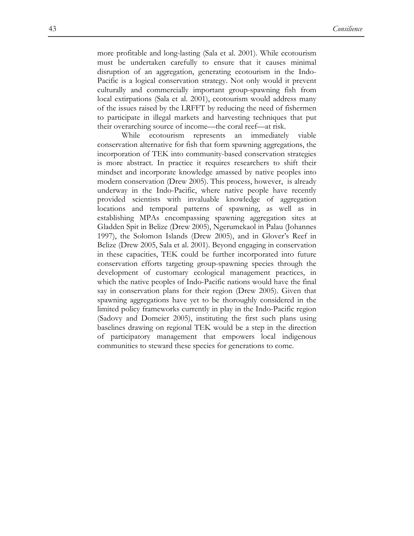more profitable and long-lasting (Sala et al. 2001). While ecotourism must be undertaken carefully to ensure that it causes minimal disruption of an aggregation, generating ecotourism in the Indo-Pacific is a logical conservation strategy. Not only would it prevent culturally and commercially important group-spawning fish from local extirpations (Sala et al. 2001), ecotourism would address many of the issues raised by the LRFFT by reducing the need of fishermen to participate in illegal markets and harvesting techniques that put their overarching source of income—the coral reef—at risk.

While ecotourism represents an immediately viable conservation alternative for fish that form spawning aggregations, the incorporation of TEK into community-based conservation strategies is more abstract. In practice it requires researchers to shift their mindset and incorporate knowledge amassed by native peoples into modern conservation (Drew 2005). This process, however, is already underway in the Indo-Pacific, where native people have recently provided scientists with invaluable knowledge of aggregation locations and temporal patterns of spawning, as well as in establishing MPAs encompassing spawning aggregation sites at Gladden Spit in Belize (Drew 2005), Ngerumekaol in Palau (Johannes 1997), the Solomon Islands (Drew 2005), and in Glover's Reef in Belize (Drew 2005, Sala et al. 2001). Beyond engaging in conservation in these capacities, TEK could be further incorporated into future conservation efforts targeting group-spawning species through the development of customary ecological management practices, in which the native peoples of Indo-Pacific nations would have the final say in conservation plans for their region (Drew 2005). Given that spawning aggregations have yet to be thoroughly considered in the limited policy frameworks currently in play in the Indo-Pacific region (Sadovy and Domeier 2005), instituting the first such plans using baselines drawing on regional TEK would be a step in the direction of participatory management that empowers local indigenous communities to steward these species for generations to come.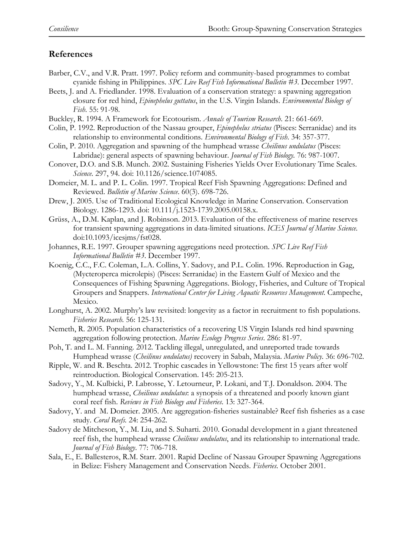## **References**

- Barber, C.V., and V.R. Pratt. 1997. Policy reform and community-based programmes to combat cyanide fishing in Philippines. *SPC Live Reef Fish Informational Bulletin #3*. December 1997.
- Beets, J. and A. Friedlander. 1998. Evaluation of a conservation strategy: a spawning aggregation closure for red hind, *Epinephelus guttatus*, in the U.S. Virgin Islands. *Environmental Biology of Fish*. 55: 91-98.
- Buckley, R. 1994. A Framework for Ecotourism. *Annals of Tourism Research*. 21: 661-669.
- Colin, P. 1992. Reproduction of the Nassau grouper, *Epinephelus striatus* (Pisces: Serranidae) and its relationship to environmental conditions. *Environmental Biology of Fish*. 34: 357-377.
- Colin, P. 2010. Aggregation and spawning of the humphead wrasse *Cheilinus undulatus* (Pisces: Labridae): general aspects of spawning behaviour. *Journal of Fish Biology.* 76: 987-1007.
- Conover, D.O. and S.B. Munch. 2002. Sustaining Fisheries Yields Over Evolutionary Time Scales. *Science*. 297, 94. doi: 10.1126/science.1074085.
- Domeier, M. L. and P. L. Colin. 1997. Tropical Reef Fish Spawning Aggregations: Defined and Reviewed. *Bulletin of Marine Science*. 60(3). 698-726.
- Drew, J. 2005. Use of Traditional Ecological Knowledge in Marine Conservation. Conservation Biology. 1286-1293. doi: 10.111/j.1523-1739.2005.00158.x.
- Grüss, A., D.M. Kaplan, and J. Robinson. 2013. Evaluation of the effectiveness of marine reserves for transient spawning aggregations in data-limited situations. *ICES Journal of Marine Science.*  doi:10.1093/icesjms/fst028.
- Johannes, R.E. 1997. Grouper spawning aggregations need protection. *SPC Live Reef Fish Informational Bulletin #3*. December 1997.
- Koenig, C.C., F.C. Coleman, L.A. Collins, Y. Sadovy, and P.L. Colin. 1996. Reproduction in Gag, (Mycteroperca microlepis) (Pisces: Serranidae) in the Eastern Gulf of Mexico and the Consequences of Fishing Spawning Aggregations. Biology, Fisheries, and Culture of Tropical Groupers and Snappers. *International Center for Living Aquatic Resources Management*. Campeche, Mexico.
- Longhurst, A. 2002. Murphy's law revisited: longevity as a factor in recruitment to fish populations. *Fisheries Research.* 56: 125-131.
- Nemeth, R. 2005. Population characteristics of a recovering US Virgin Islands red hind spawning aggregation following protection. *Marine Ecology Progress Series*. 286: 81-97.
- Poh, T. and L. M. Fanning. 2012. Tackling illegal, unregulated, and unreported trade towards Humphead wrasse (*Cheilinus undulatus)* recovery in Sabah, Malaysia. *Marine Policy*. 36: 696-702.
- Ripple, W. and R. Beschta. 2012. Trophic cascades in Yellowstone: The first 15 years after wolf reintroduction. Biological Conservation. 145: 205-213.
- Sadovy, Y., M. Kulbicki, P. Labrosse, Y. Letourneur, P. Lokani, and T.J. Donaldson. 2004. The humphead wrasse, *Cheilinus undulatus*: a synopsis of a threatened and poorly known giant coral reef fish. *Reviews in Fish Biology and Fisheries*. 13: 327-364.
- Sadovy, Y. and M. Domeier. 2005. Are aggregation-fisheries sustainable? Reef fish fisheries as a case study. *Coral Reefs.* 24: 254-262.
- Sadovy de Mitcheson, Y., M. Liu, and S. Suharti. 2010. Gonadal development in a giant threatened reef fish, the humphead wrasse *Cheilinus undulatus*, and its relationship to international trade. *Journal of Fish Biology*. 77: 706-718.
- Sala, E., E. Ballesteros, R.M. Starr. 2001. Rapid Decline of Nassau Grouper Spawning Aggregations in Belize: Fishery Management and Conservation Needs. *Fisheries.* October 2001.